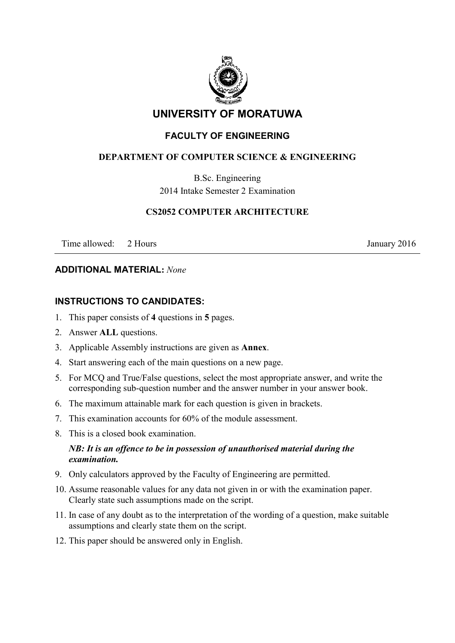

# **UNIVERSITY OF MORATUWA**

## **FACULTY OF ENGINEERING**

### **DEPARTMENT OF COMPUTER SCIENCE & ENGINEERING**

B.Sc. Engineering 2014 Intake Semester 2 Examination

#### **CS2052 COMPUTER ARCHITECTURE**

Time allowed: 2 Hours January 2016

#### **ADDITIONAL MATERIAL:** *None*

### **INSTRUCTIONS TO CANDIDATES:**

- 1. This paper consists of **4** questions in **5** pages.
- 2. Answer **ALL** questions.
- 3. Applicable Assembly instructions are given as **Annex**.
- 4. Start answering each of the main questions on a new page.
- 5. For MCQ and True/False questions, select the most appropriate answer, and write the corresponding sub-question number and the answer number in your answer book.
- 6. The maximum attainable mark for each question is given in brackets.
- 7. This examination accounts for 60% of the module assessment.
- 8. This is a closed book examination.

#### *NB: It is an offence to be in possession of unauthorised material during the examination.*

- 9. Only calculators approved by the Faculty of Engineering are permitted.
- 10. Assume reasonable values for any data not given in or with the examination paper. Clearly state such assumptions made on the script.
- 11. In case of any doubt as to the interpretation of the wording of a question, make suitable assumptions and clearly state them on the script.
- 12. This paper should be answered only in English.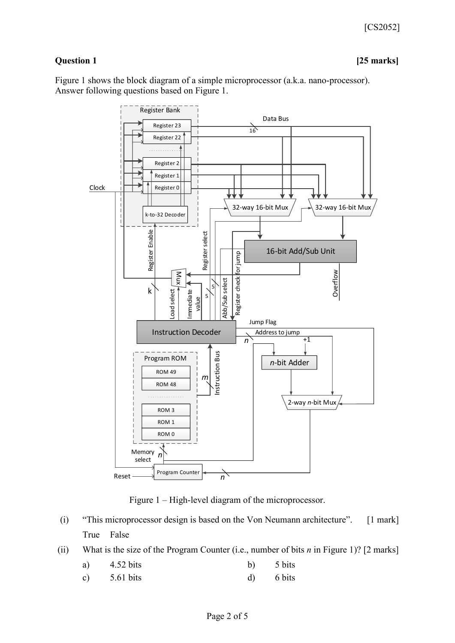### **Question 1 [25 marks]**

Figure 1 shows the block diagram of a simple microprocessor (a.k.a. nano-processor). Answer following questions based on Figure 1.



Figure 1 – High-level diagram of the microprocessor.

- (i) "This microprocessor design is based on the Von Neumann architecture". [1 mark] True False
- (ii) What is the size of the Program Counter (i.e., number of bits *n* in Figure 1)? [2 marks]
	- a)  $4.52 \text{ bits}$  b)  $5 \text{ bits}$
	- c)  $5.61 \text{ bits}$  d)  $6 \text{ bits}$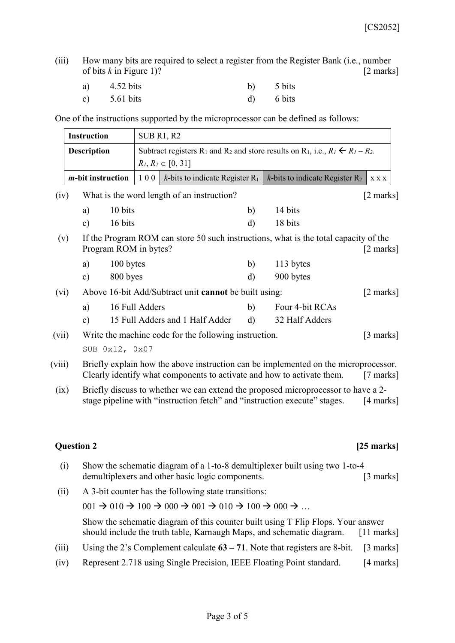(iii) How many bits are required to select a register from the Register Bank (i.e., number of bits *k* in Figure 1)? [2 marks]

| a) | 4.52 bits              | b) 5 bits   |
|----|------------------------|-------------|
|    | c) $5.61 \text{ bits}$ | $d)$ 6 bits |

One of the instructions supported by the microprocessor can be defined as follows:

|                                   | <b>Instruction</b>                                             |                                                                                                                                                                              | SUB R1, R2                                            |                                                                                                                                                    |              |                                                                                                                                                                |                     |
|-----------------------------------|----------------------------------------------------------------|------------------------------------------------------------------------------------------------------------------------------------------------------------------------------|-------------------------------------------------------|----------------------------------------------------------------------------------------------------------------------------------------------------|--------------|----------------------------------------------------------------------------------------------------------------------------------------------------------------|---------------------|
|                                   | <b>Description</b>                                             |                                                                                                                                                                              |                                                       | Subtract registers R <sub>1</sub> and R <sub>2</sub> and store results on R <sub>1</sub> , i.e., $R_1 \nleq R_1 - R_2$ .<br>$R_1, R_2 \in [0, 31]$ |              |                                                                                                                                                                |                     |
|                                   |                                                                | <i>m</i> -bit instruction                                                                                                                                                    | 100                                                   | <i>k</i> -bits to indicate Register $R_1$                                                                                                          |              | $k$ -bits to indicate Register $R_2$                                                                                                                           | <b>XXX</b>          |
| (iv)                              |                                                                |                                                                                                                                                                              |                                                       | What is the word length of an instruction?                                                                                                         |              |                                                                                                                                                                | $[2 \text{ marks}]$ |
|                                   |                                                                | a)                                                                                                                                                                           | 10 bits                                               |                                                                                                                                                    | b)           | 14 bits                                                                                                                                                        |                     |
|                                   |                                                                | $\mathbf{c})$                                                                                                                                                                | 16 bits                                               |                                                                                                                                                    | d)           | 18 bits                                                                                                                                                        |                     |
| (v)                               |                                                                |                                                                                                                                                                              | Program ROM in bytes?                                 |                                                                                                                                                    |              | If the Program ROM can store 50 such instructions, what is the total capacity of the                                                                           | $[2 \text{ marks}]$ |
|                                   |                                                                | a)                                                                                                                                                                           | 100 bytes                                             |                                                                                                                                                    | b)           | 113 bytes                                                                                                                                                      |                     |
|                                   |                                                                | $\mathbf{c})$                                                                                                                                                                | 800 byes                                              |                                                                                                                                                    | d)           | 900 bytes                                                                                                                                                      |                     |
| (vi)                              |                                                                |                                                                                                                                                                              | Above 16-bit Add/Subtract unit cannot be built using: |                                                                                                                                                    |              |                                                                                                                                                                | $[2 \text{ marks}]$ |
|                                   |                                                                | a)                                                                                                                                                                           | 16 Full Adders                                        |                                                                                                                                                    | b)           | Four 4-bit RCAs                                                                                                                                                |                     |
|                                   |                                                                | $\mathbf{c})$                                                                                                                                                                |                                                       | 15 Full Adders and 1 Half Adder                                                                                                                    | $\mathbf{d}$ | 32 Half Adders                                                                                                                                                 |                     |
|                                   | Write the machine code for the following instruction.<br>(vii) |                                                                                                                                                                              |                                                       |                                                                                                                                                    |              | $\lceil 3 \text{ marks} \rceil$                                                                                                                                |                     |
|                                   |                                                                | SUB 0x12, 0x07                                                                                                                                                               |                                                       |                                                                                                                                                    |              |                                                                                                                                                                |                     |
| (viii)                            |                                                                | Briefly explain how the above instruction can be implemented on the microprocessor.<br>Clearly identify what components to activate and how to activate them.<br>$[7$ marks] |                                                       |                                                                                                                                                    |              |                                                                                                                                                                |                     |
| (ix)                              |                                                                |                                                                                                                                                                              |                                                       |                                                                                                                                                    |              | Briefly discuss to whether we can extend the proposed microprocessor to have a 2-<br>stage pipeline with "instruction fetch" and "instruction execute" stages. | $[4$ marks]         |
|                                   |                                                                |                                                                                                                                                                              |                                                       |                                                                                                                                                    |              |                                                                                                                                                                |                     |
| <b>Question 2</b><br>$[25$ marks] |                                                                |                                                                                                                                                                              |                                                       |                                                                                                                                                    |              |                                                                                                                                                                |                     |
|                                   | (1)                                                            |                                                                                                                                                                              |                                                       |                                                                                                                                                    |              | Show the schematic diagram of a 1 to 8 demultiple ver built using two 1 to 4                                                                                   |                     |

- (i) Show the schematic diagram of a 1-to-8 demultiplexer built using two 1-to-4 demultiplexers and other basic logic components. [3 marks]
- (ii) A 3-bit counter has the following state transitions:

 $001 \rightarrow 010 \rightarrow 100 \rightarrow 000 \rightarrow 001 \rightarrow 010 \rightarrow 100 \rightarrow 000 \rightarrow \dots$ 

Show the schematic diagram of this counter built using T Flip Flops. Your answer should include the truth table, Karnaugh Maps, and schematic diagram. [11 marks]

- (iii) Using the 2's Complement calculate **63 – 71**. Note that registers are 8-bit. [3 marks]
- (iv) Represent 2.718 using Single Precision, IEEE Floating Point standard. [4 marks]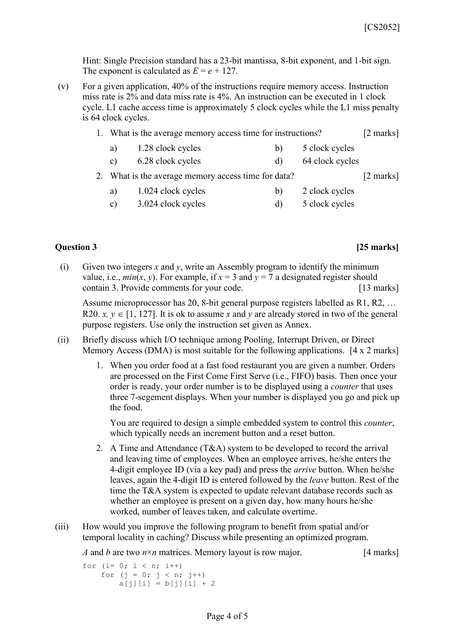Hint: Single Precision standard has a 23-bit mantissa, 8-bit exponent, and 1-bit sign. The exponent is calculated as  $E = e + 127$ .

(v) For a given application, 40% of the instructions require memory access. Instruction miss rate is 2% and data miss rate is 4%. An instruction can be executed in 1 clock cycle. L1 cache access time is approximately 5 clock cycles while the L1 miss penalty is 64 clock cycles.

| 1. What is the average memory access time for instructions? |                    |    |                 | $[2 \text{ marks}]$ |
|-------------------------------------------------------------|--------------------|----|-----------------|---------------------|
| a)                                                          | 1.28 clock cycles  | b) | 5 clock cycles  |                     |
| C)                                                          | 6.28 clock cycles  | d) | 64 clock cycles |                     |
| 2. What is the average memory access time for data?         |                    |    |                 |                     |
| a)                                                          | 1.024 clock cycles | b) | 2 clock cycles  |                     |
| $\mathbf{c}$ )                                              | 3.024 clock cycles | d) | 5 clock cycles  |                     |

#### **Question 3 [25 marks]**

(i) Given two integers *x* and *y*, write an Assembly program to identify the minimum value, i.e.,  $min(x, y)$ . For example, if  $x = 3$  and  $y = 7$  a designated register should contain 3. Provide comments for your code. [13 marks]

Assume microprocessor has 20, 8-bit general purpose registers labelled as R1, R2, … R20.  $x, y \in [1, 127]$ . It is ok to assume x and y are already stored in two of the general purpose registers. Use only the instruction set given as Annex.

- (ii) Briefly discuss which I/O technique among Pooling, Interrupt Driven, or Direct Memory Access (DMA) is most suitable for the following applications. [4 x 2 marks]
	- 1. When you order food at a fast food restaurant you are given a number. Orders are processed on the First Come First Serve (i.e., FIFO) basis. Then once your order is ready, your order number is to be displayed using a *counter* that uses three 7-segement displays. When your number is displayed you go and pick up the food.

You are required to design a simple embedded system to control this *counter*, which typically needs an increment button and a reset button.

- 2. A Time and Attendance (T&A) system to be developed to record the arrival and leaving time of employees. When an employee arrives, he/she enters the 4-digit employee ID (via a key pad) and press the *arrive* button. When he/she leaves, again the 4-digit ID is entered followed by the *leave* button. Rest of the time the T&A system is expected to update relevant database records such as whether an employee is present on a given day, how many hours he/she worked, number of leaves taken, and calculate overtime.
- (iii) How would you improve the following program to benefit from spatial and/or temporal locality in caching? Discuss while presenting an optimized program.

*A* and *b* are two  $n \times n$  matrices. Memory layout is row major. [4 marks]

```
for (i= 0; i < n; i++)for (j = 0; j < n; j++)a[j][i] = b[j][i] + 2
```